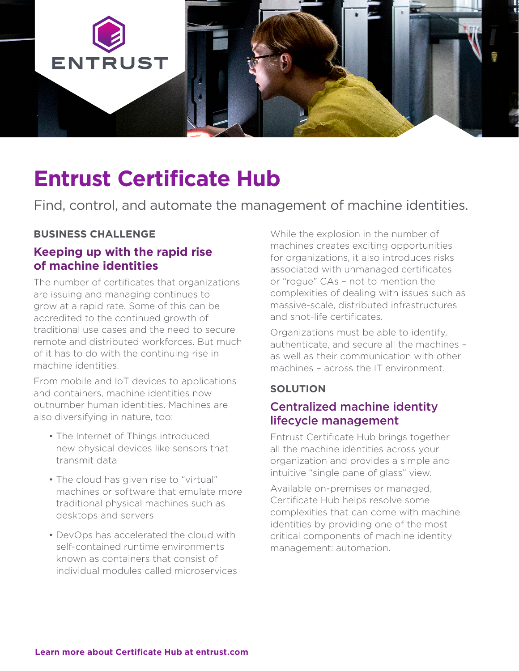

# **Entrust Certificate Hub**

Find, control, and automate the management of machine identities.

#### **BUSINESS CHALLENGE**

#### **Keeping up with the rapid rise of machine identities**

The number of certificates that organizations are issuing and managing continues to grow at a rapid rate. Some of this can be accredited to the continued growth of traditional use cases and the need to secure remote and distributed workforces. But much of it has to do with the continuing rise in machine identities.

From mobile and IoT devices to applications and containers, machine identities now outnumber human identities. Machines are also diversifying in nature, too:

- The Internet of Things introduced new physical devices like sensors that transmit data
- The cloud has given rise to "virtual" machines or software that emulate more traditional physical machines such as desktops and servers
- DevOps has accelerated the cloud with self-contained runtime environments known as containers that consist of individual modules called microservices

While the explosion in the number of machines creates exciting opportunities for organizations, it also introduces risks associated with unmanaged certificates or "rogue" CAs – not to mention the complexities of dealing with issues such as massive-scale, distributed infrastructures and shot-life certificates.

Organizations must be able to identify, authenticate, and secure all the machines – as well as their communication with other machines – across the IT environment.

#### **SOLUTION**

# Centralized machine identity lifecycle management

Entrust Certificate Hub brings together all the machine identities across your organization and provides a simple and intuitive "single pane of glass" view.

Available on-premises or managed, Certificate Hub helps resolve some complexities that can come with machine identities by providing one of the most critical components of machine identity management: automation.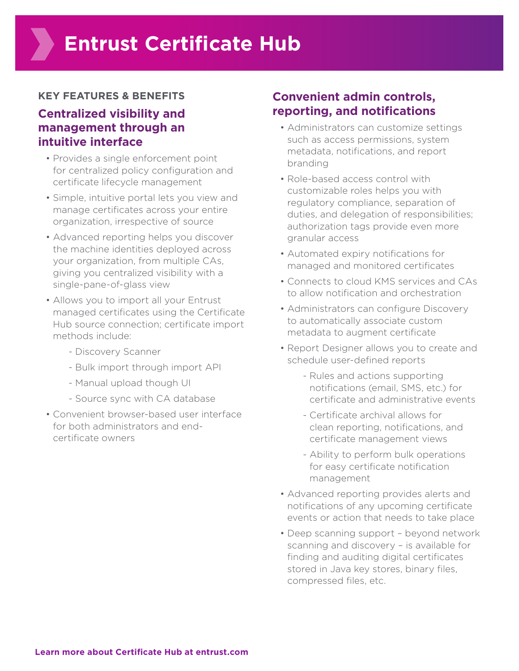#### **KEY FEATURES & BENEFITS**

### **Centralized visibility and management through an intuitive interface**

- Provides a single enforcement point for centralized policy configuration and certificate lifecycle management
- Simple, intuitive portal lets you view and manage certificates across your entire organization, irrespective of source
- Advanced reporting helps you discover the machine identities deployed across your organization, from multiple CAs, giving you centralized visibility with a single-pane-of-glass view
- Allows you to import all your Entrust managed certificates using the Certificate Hub source connection; certificate import methods include:
	- Discovery Scanner
	- Bulk import through import API
	- Manual upload though UI
	- Source sync with CA database
- Convenient browser-based user interface for both administrators and endcertificate owners

### **Convenient admin controls, reporting, and notifications**

- Administrators can customize settings such as access permissions, system metadata, notifications, and report branding
- Role-based access control with customizable roles helps you with regulatory compliance, separation of duties, and delegation of responsibilities; authorization tags provide even more granular access
- Automated expiry notifications for managed and monitored certificates
- Connects to cloud KMS services and CAs to allow notification and orchestration
- Administrators can configure Discovery to automatically associate custom metadata to augment certificate
- Report Designer allows you to create and schedule user-defined reports
	- Rules and actions supporting notifications (email, SMS, etc.) for certificate and administrative events
	- Certificate archival allows for clean reporting, notifications, and certificate management views
	- Ability to perform bulk operations for easy certificate notification management
- Advanced reporting provides alerts and notifications of any upcoming certificate events or action that needs to take place
- Deep scanning support beyond network scanning and discovery – is available for finding and auditing digital certificates stored in Java key stores, binary files, compressed files, etc.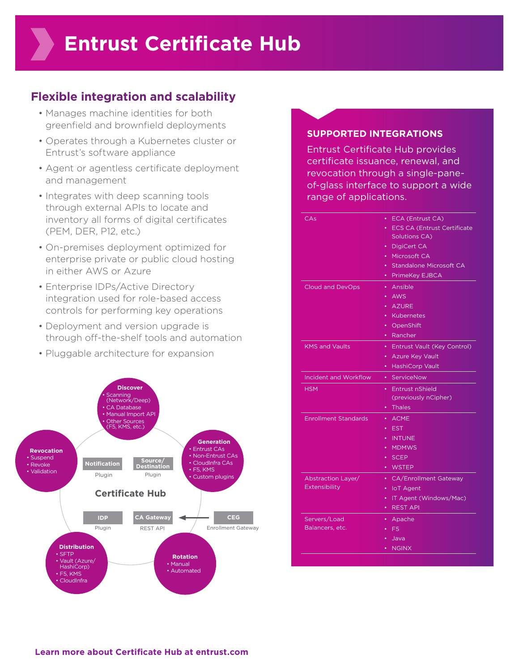## **Flexible integration and scalability**

- Manages machine identities for both greenfield and brownfield deployments
- Operates through a Kubernetes cluster or Entrust's software appliance
- Agent or agentless certificate deployment and management
- Integrates with deep scanning tools through external APIs to locate and inventory all forms of digital certificates (PEM, DER, P12, etc.)
- On-premises deployment optimized for enterprise private or public cloud hosting in either AWS or Azure
- Enterprise IDPs/Active Directory integration used for role-based access controls for performing key operations
- Deployment and version upgrade is through off-the-shelf tools and automation
- Pluggable architecture for expansion



#### **SUPPORTED INTEGRATIONS**

Entrust Certificate Hub provides certificate issuance, renewal, and revocation through a single-paneof-glass interface to support a wide range of applications.

| CAs                          | ECA (Entrust CA)<br>$\bullet$        |
|------------------------------|--------------------------------------|
|                              | • ECS CA (Entrust Certificate        |
|                              | Solutions CA)                        |
|                              | DigiCert CA<br>$\bullet$             |
|                              | Microsoft CA<br>$\bullet$            |
|                              | Standalone Microsoft CA<br>$\bullet$ |
|                              | PrimeKey EJBCA<br>٠                  |
| <b>Cloud and DevOps</b>      | Ansible<br>$\bullet$                 |
|                              | • AWS                                |
|                              | · AZURE                              |
|                              | <b>Kubernetes</b><br>$\bullet$       |
|                              | OpenShift<br>٠.                      |
|                              | Rancher<br>٠                         |
| <b>KMS and Vaults</b>        | Entrust Vault (Key Control)<br>٠     |
|                              | • Azure Key Vault                    |
|                              | HashiCorp Vault<br>$\bullet$         |
| <b>Incident and Workflow</b> | ServiceNow<br>٠                      |
| <b>HSM</b>                   | • Entrust nShield                    |
|                              | (previously nCipher)                 |
|                              | <b>Thales</b><br>$\bullet$           |
| <b>Enrollment Standards</b>  | • ACME                               |
|                              | <b>EST</b><br>٠                      |
|                              | · INTUNE                             |
|                              | <b>MDMWS</b>                         |
|                              | $\cdot$ SCEP                         |
|                              | • WSTEP                              |
| Abstraction Layer/           | • CA/Enrollment Gateway              |
| Extensibility                | <b>IoT</b> Agent<br>$\bullet$        |
|                              | IT Agent (Windows/Mac)               |
|                              | <b>REST API</b><br>٠                 |
| Servers/Load                 | Apache                               |
|                              |                                      |
| Balancers, etc.              | F <sub>5</sub>                       |
|                              | Java                                 |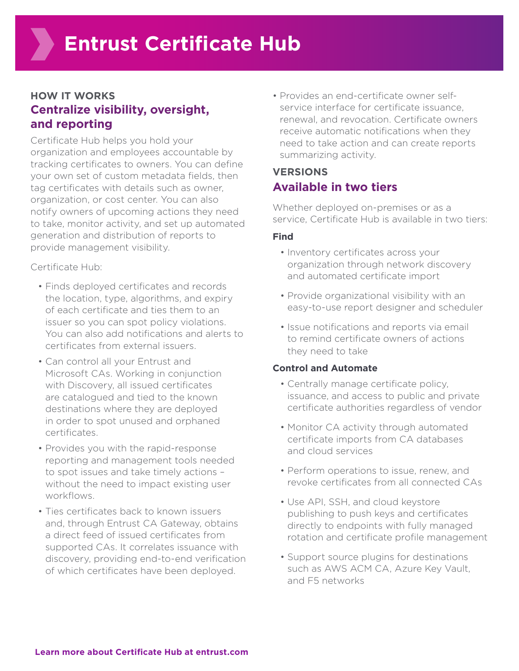### **HOW IT WORKS Centralize visibility, oversight, and reporting**

Certificate Hub helps you hold your organization and employees accountable by tracking certificates to owners. You can define your own set of custom metadata fields, then tag certificates with details such as owner, organization, or cost center. You can also notify owners of upcoming actions they need to take, monitor activity, and set up automated generation and distribution of reports to provide management visibility.

Certificate Hub:

- Finds deployed certificates and records the location, type, algorithms, and expiry of each certificate and ties them to an issuer so you can spot policy violations. You can also add notifications and alerts to certificates from external issuers.
- Can control all your Entrust and Microsoft CAs. Working in conjunction with Discovery, all issued certificates are catalogued and tied to the known destinations where they are deployed in order to spot unused and orphaned certificates.
- Provides you with the rapid-response reporting and management tools needed to spot issues and take timely actions – without the need to impact existing user workflows.
- Ties certificates back to known issuers and, through Entrust CA Gateway, obtains a direct feed of issued certificates from supported CAs. It correlates issuance with discovery, providing end-to-end verification of which certificates have been deployed.

• Provides an end-certificate owner selfservice interface for certificate issuance, renewal, and revocation. Certificate owners receive automatic notifications when they need to take action and can create reports summarizing activity.

# **VERSIONS Available in two tiers**

Whether deployed on-premises or as a service, Certificate Hub is available in two tiers:

#### **Find**

- Inventory certificates across your organization through network discovery and automated certificate import
- Provide organizational visibility with an easy-to-use report designer and scheduler
- Issue notifications and reports via email to remind certificate owners of actions they need to take

#### **Control and Automate**

- Centrally manage certificate policy, issuance, and access to public and private certificate authorities regardless of vendor
- Monitor CA activity through automated certificate imports from CA databases and cloud services
- Perform operations to issue, renew, and revoke certificates from all connected CAs
- Use API, SSH, and cloud keystore publishing to push keys and certificates directly to endpoints with fully managed rotation and certificate profile management
- Support source plugins for destinations such as AWS ACM CA, Azure Key Vault, and F5 networks